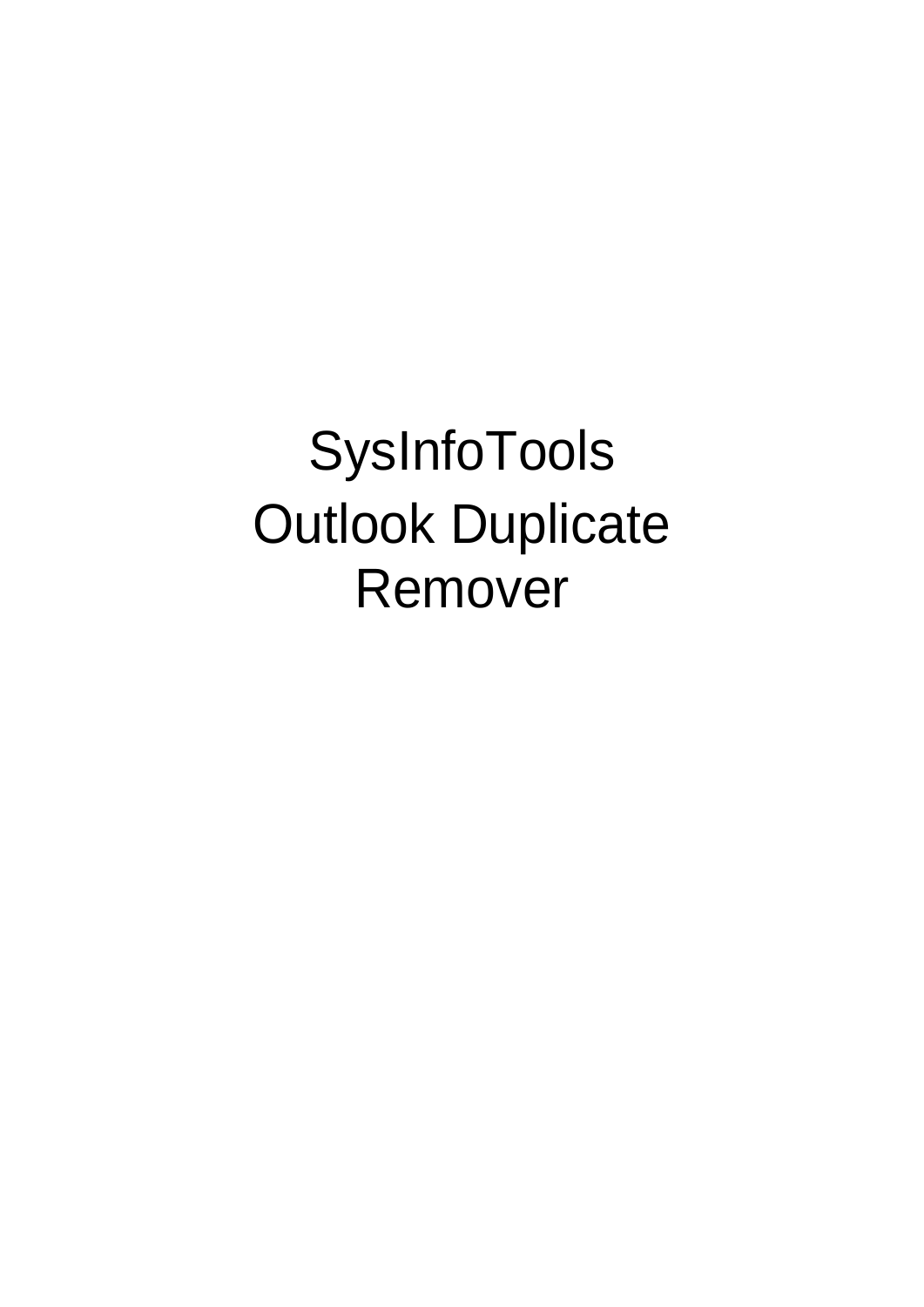SysInfoTools Outlook Duplicate Remover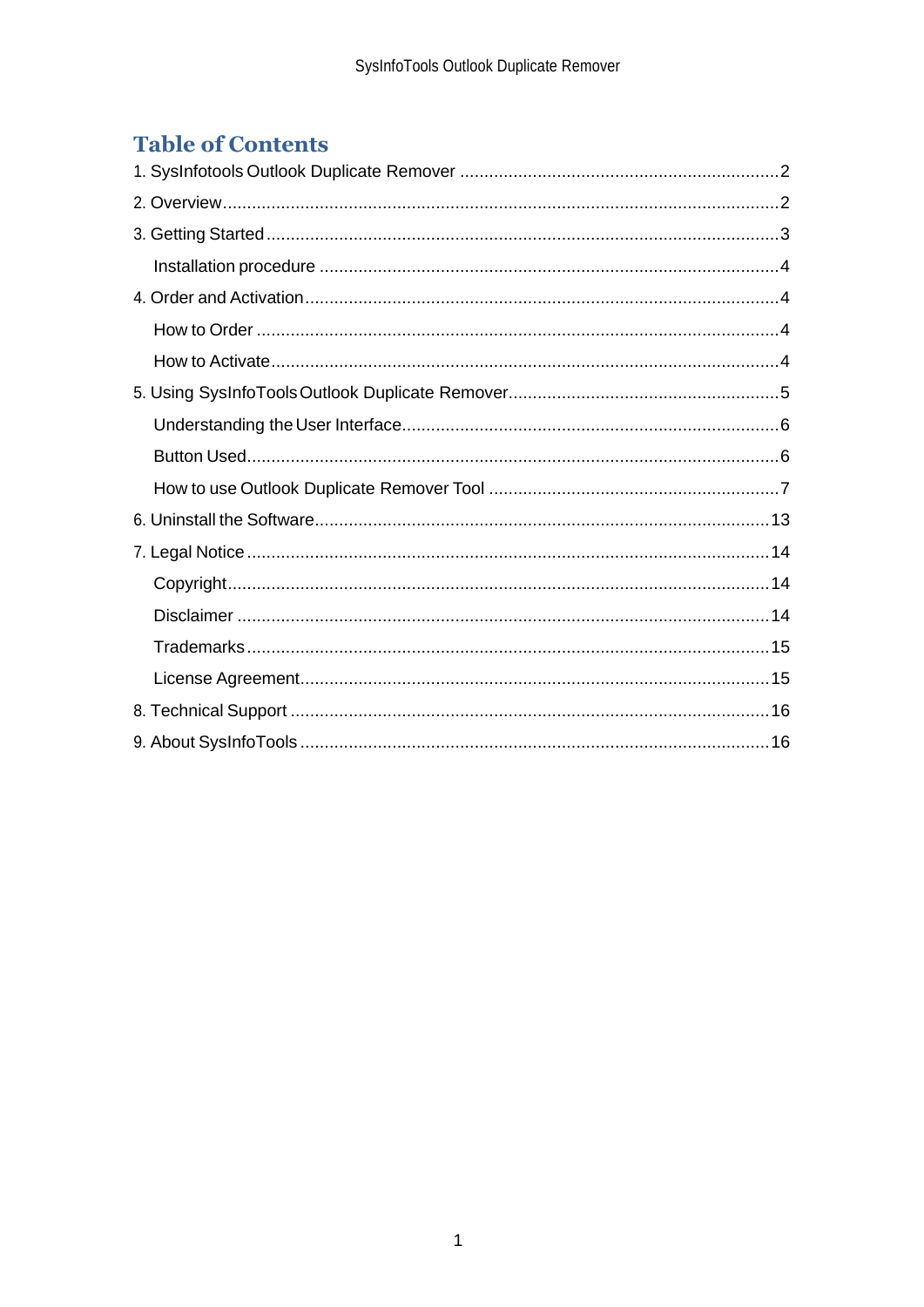# **Table of Contents**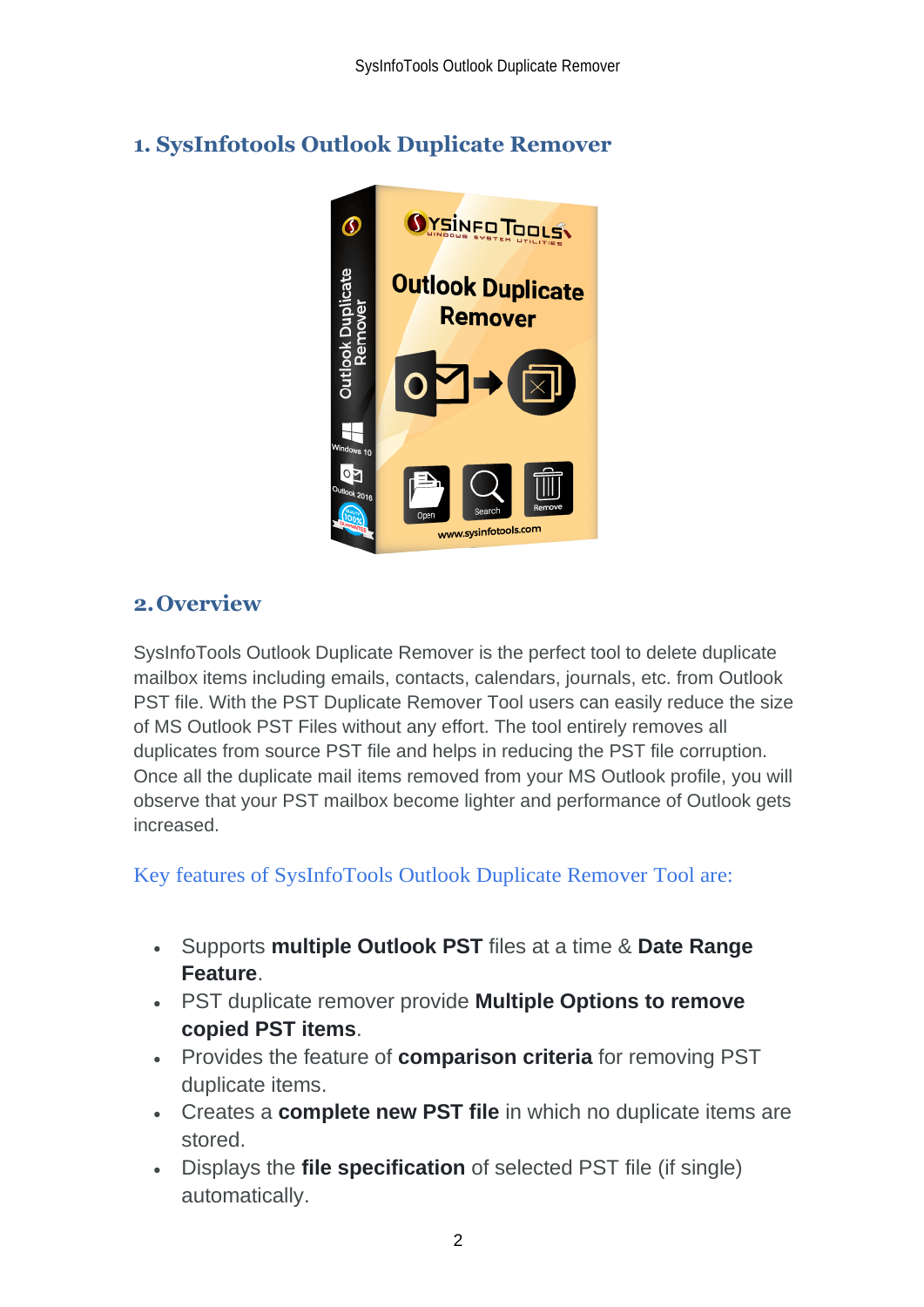# <span id="page-2-0"></span>**1. SysInfotools Outlook Duplicate Remover**



## <span id="page-2-1"></span>**2.Overview**

SysInfoTools Outlook Duplicate Remover is the perfect tool to delete duplicate mailbox items including emails, contacts, calendars, journals, etc. from Outlook PST file. With the PST Duplicate Remover Tool users can easily reduce the size of MS Outlook PST Files without any effort. The tool entirely removes all duplicates from source PST file and helps in reducing the PST file corruption. Once all the duplicate mail items removed from your MS Outlook profile, you will observe that your PST mailbox become lighter and performance of Outlook gets increased.

## Key features of SysInfoTools Outlook Duplicate Remover Tool are:

- Supports **multiple Outlook PST** files at a time & **Date Range Feature**.
- PST duplicate remover provide **Multiple Options to remove copied PST items**.
- Provides the feature of **comparison criteria** for removing PST duplicate items.
- Creates a **complete new PST file** in which no duplicate items are stored.
- Displays the **file specification** of selected PST file (if single) automatically.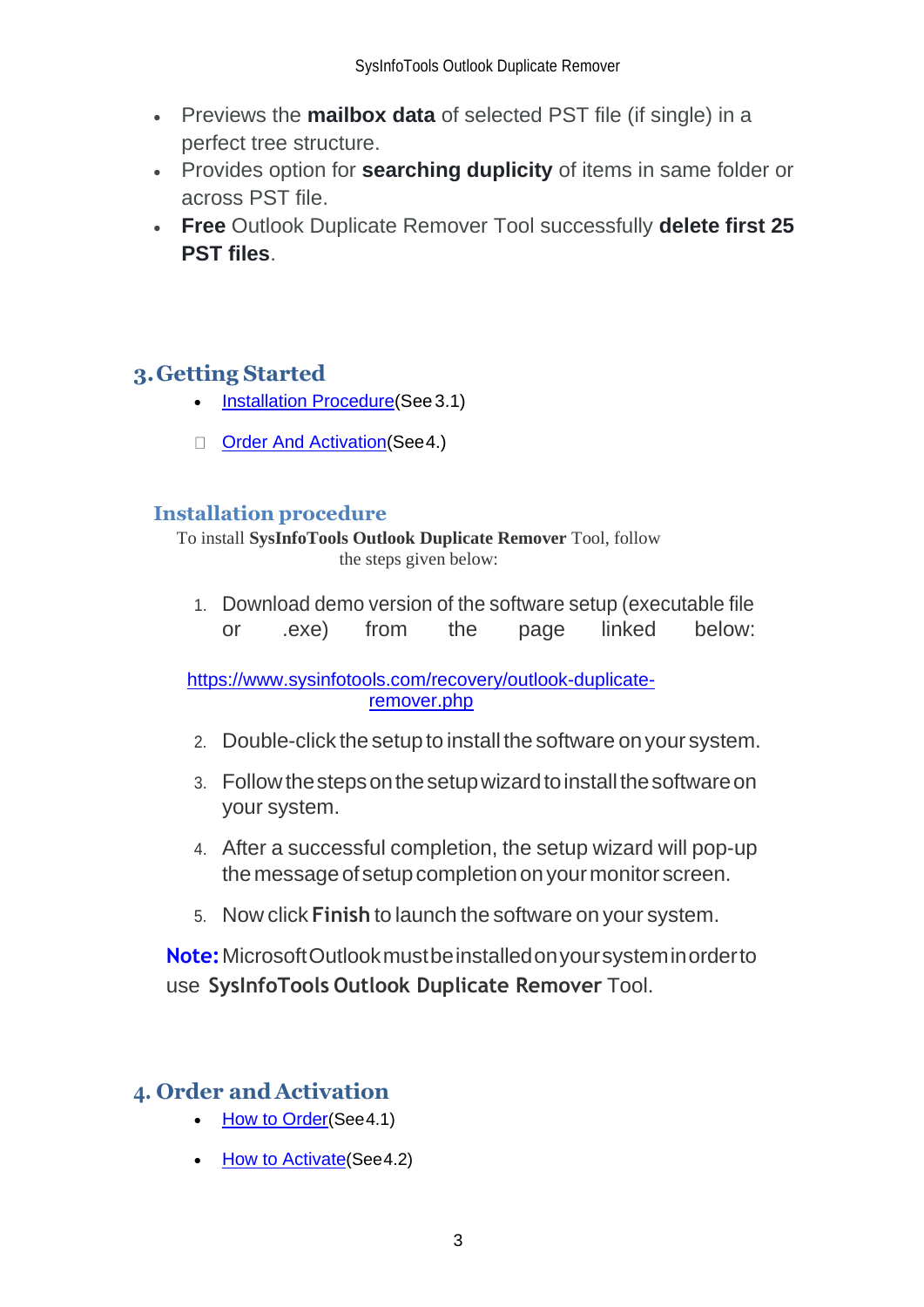- Previews the **mailbox data** of selected PST file (if single) in a perfect tree structure.
- Provides option for **searching duplicity** of items in same folder or across PST file.
- **Free** Outlook Duplicate Remover Tool successfully **delete first 25 PST files**.

# <span id="page-3-0"></span>**3.Getting Started**

- [Installation Procedure\(](#page-3-1)See 3.1)
- Order And Activation (See 4.)

## <span id="page-3-1"></span>**Installation procedure**

To install **SysInfoTools Outlook Duplicate Remover** Tool, follow the steps given below:

1. Download demo version of the software setup (executable file or .exe) from the page linked below:

[https://www.sysinfotools.com/recovery/outlook-duplicate](https://www.sysinfotools.com/recovery/outlook-duplicate-remover.php)[remover.php](https://www.sysinfotools.com/recovery/outlook-duplicate-remover.php)

- 2. Double-click the setup to install the software onyour system.
- 3. Follow the steps on the setup wizard to install the software on your system.
- 4. After a successful completion, the setup wizard will pop-up the message of setup completion on your monitor screen.
- 5. Now click **Finish** to launch the software on your system.

**Note:**MicrosoftOutlookmustbeinstalledonyoursysteminorderto use **SysInfoTools Outlook Duplicate Remover** Tool.

## <span id="page-3-2"></span>**4. Order and Activation**

- **[How to Order](#page-4-0)(See 4.1)**
- **[How to Activate](#page-4-1)**(See 4.2)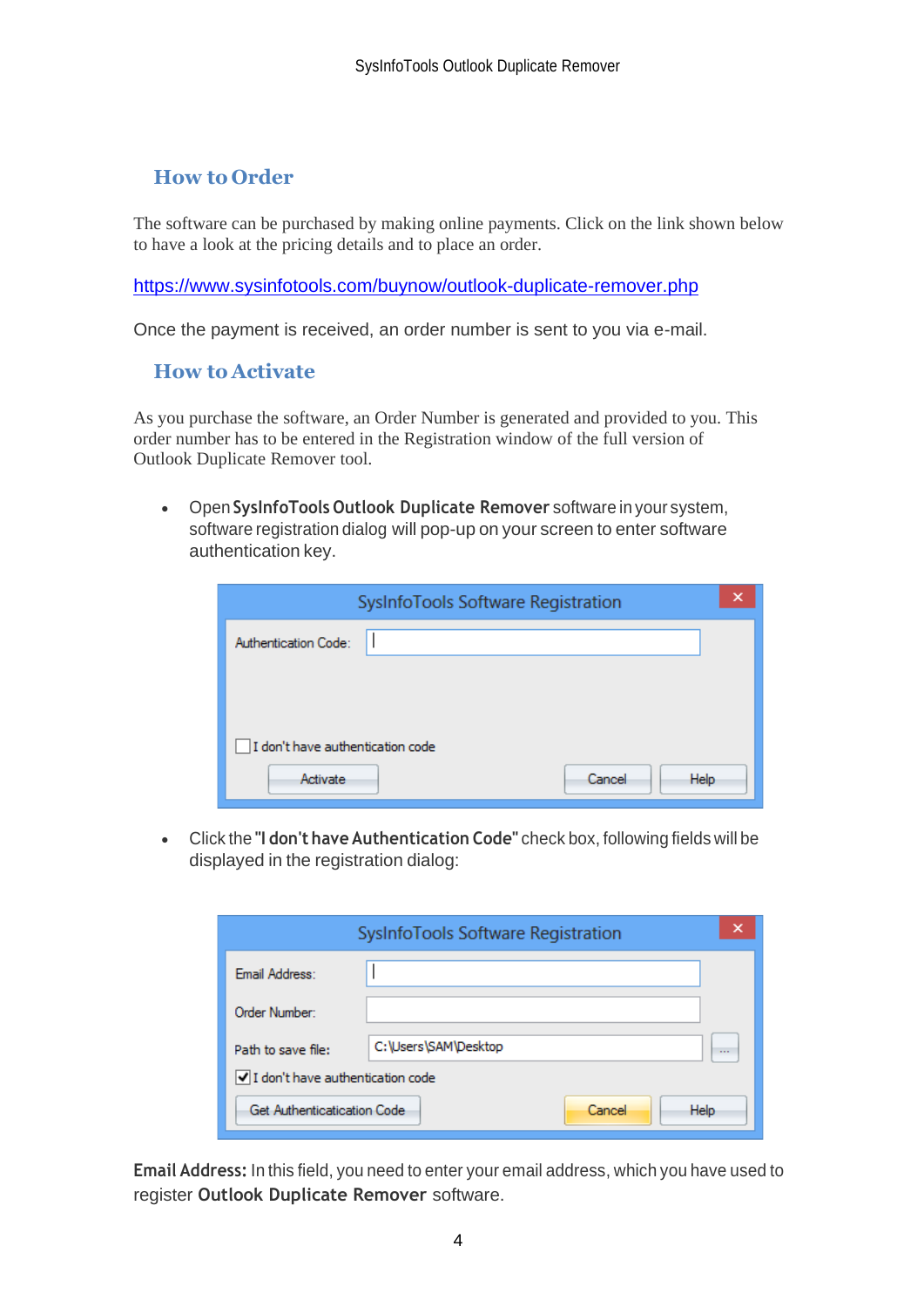## <span id="page-4-0"></span>**How to Order**

The software can be purchased by making online payments. Click on the link shown below to have a look at the pricing details and to place an order.

<https://www.sysinfotools.com/buynow/outlook-duplicate-remover.php>

Once the payment is received, an order number is sent to you via e-mail.

### <span id="page-4-1"></span>**How to Activate**

As you purchase the software, an Order Number is generated and provided to you. This order number has to be entered in the Registration window of the full version of Outlook Duplicate Remover tool.

• Open **SysInfoTools Outlook Duplicate Remover** software in your system, software registration dialog will pop-up on your screen to enter software authentication key.

| SysInfoTools Software Registration |
|------------------------------------|
| Authentication Code:               |
|                                    |
|                                    |
| I don't have authentication code   |
| Cancel<br>Help<br>Activate         |

• Click the **"I don't have Authentication Code"** check box, following fields will be displayed in the registration dialog:

|                                    | SysInfoTools Software Registration | ×        |
|------------------------------------|------------------------------------|----------|
| Email Address:                     |                                    |          |
| Order Number:                      |                                    |          |
| Path to save file:                 | C:\Users\SAM\Desktop               | $\cdots$ |
| √ I don't have authentication code |                                    |          |
| Get Authenticatication Code        | Cancel<br><b>Help</b>              |          |

**Email Address:** In this field, you need to enter your email address, which you have used to register **Outlook Duplicate Remover** software.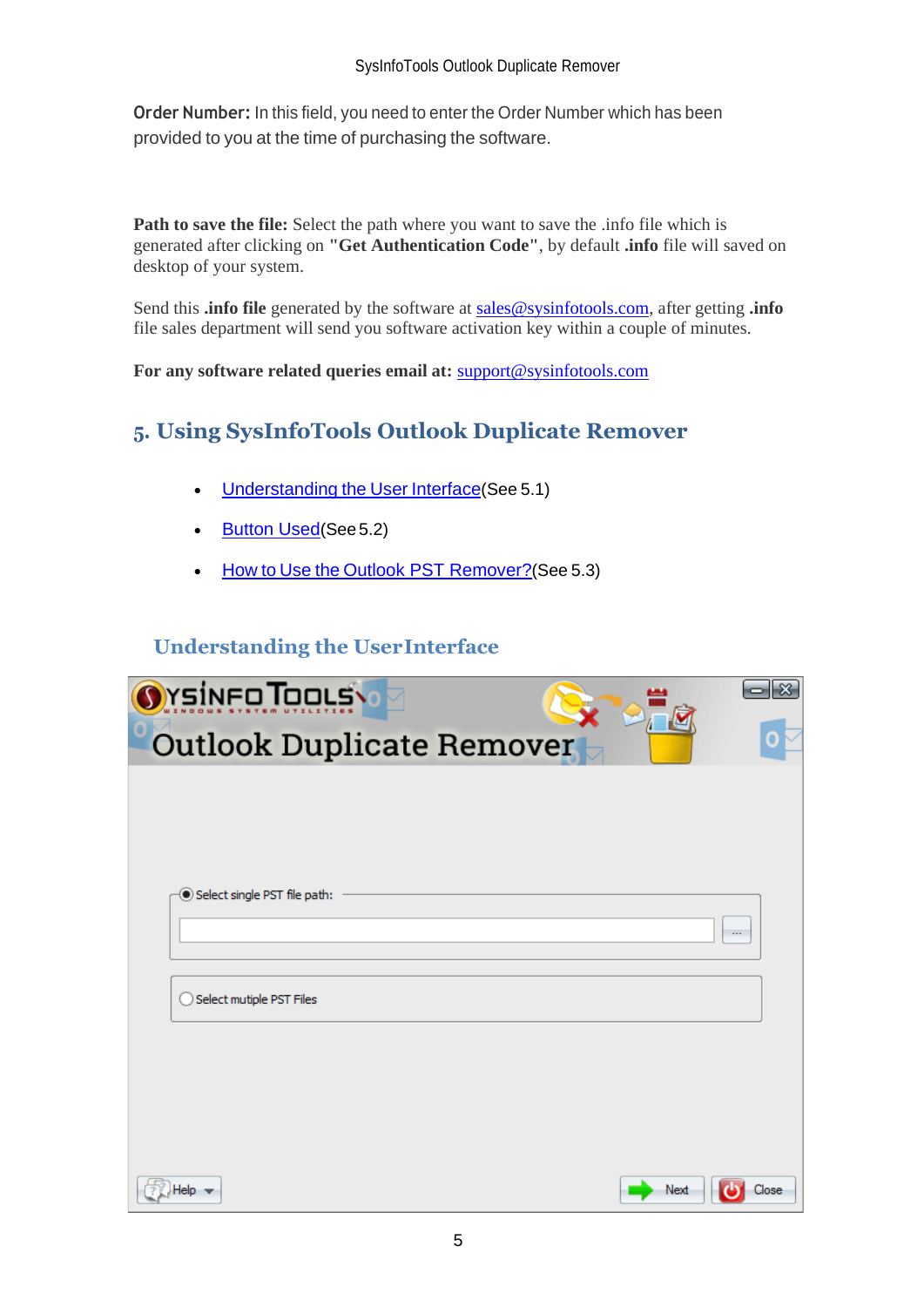**Order Number:** In this field, you need to enter the Order Number which has been provided to you at the time of purchasing the software.

**Path to save the file:** Select the path where you want to save the .info file which is generated after clicking on **"Get Authentication Code"**, by default **.info** file will saved on desktop of your system.

Send this **.info file** generated by the software at [sales@sysinfotools.com,](mailto:sales@sysinfotools.com) after getting **.info** file sales department will send you software activation key within a couple of minutes.

**For any software related queries email at:** [support@sysinfotools.com](mailto:support@sysinfotools.com)

# <span id="page-5-0"></span>**5. Using SysInfoTools Outlook Duplicate Remover**

- [Understanding](#page-5-1) the User Interface(See 5.1)
- [Button Used](#page-5-2)(See 5.2)
- How to Use the [Outlook PST Remover?](#page-6-0)(See 5.3)

## <span id="page-5-1"></span>**Understanding the UserInterface**

<span id="page-5-2"></span>

| <b>O</b> YSINFO TOOLS<br>×   |
|------------------------------|
| Outlook Duplicate Remover    |
|                              |
|                              |
| Select single PST file path: |
| $\cdots$                     |
|                              |
| Select mutiple PST Files     |
|                              |
|                              |
|                              |
| Next<br>Help -<br>Close      |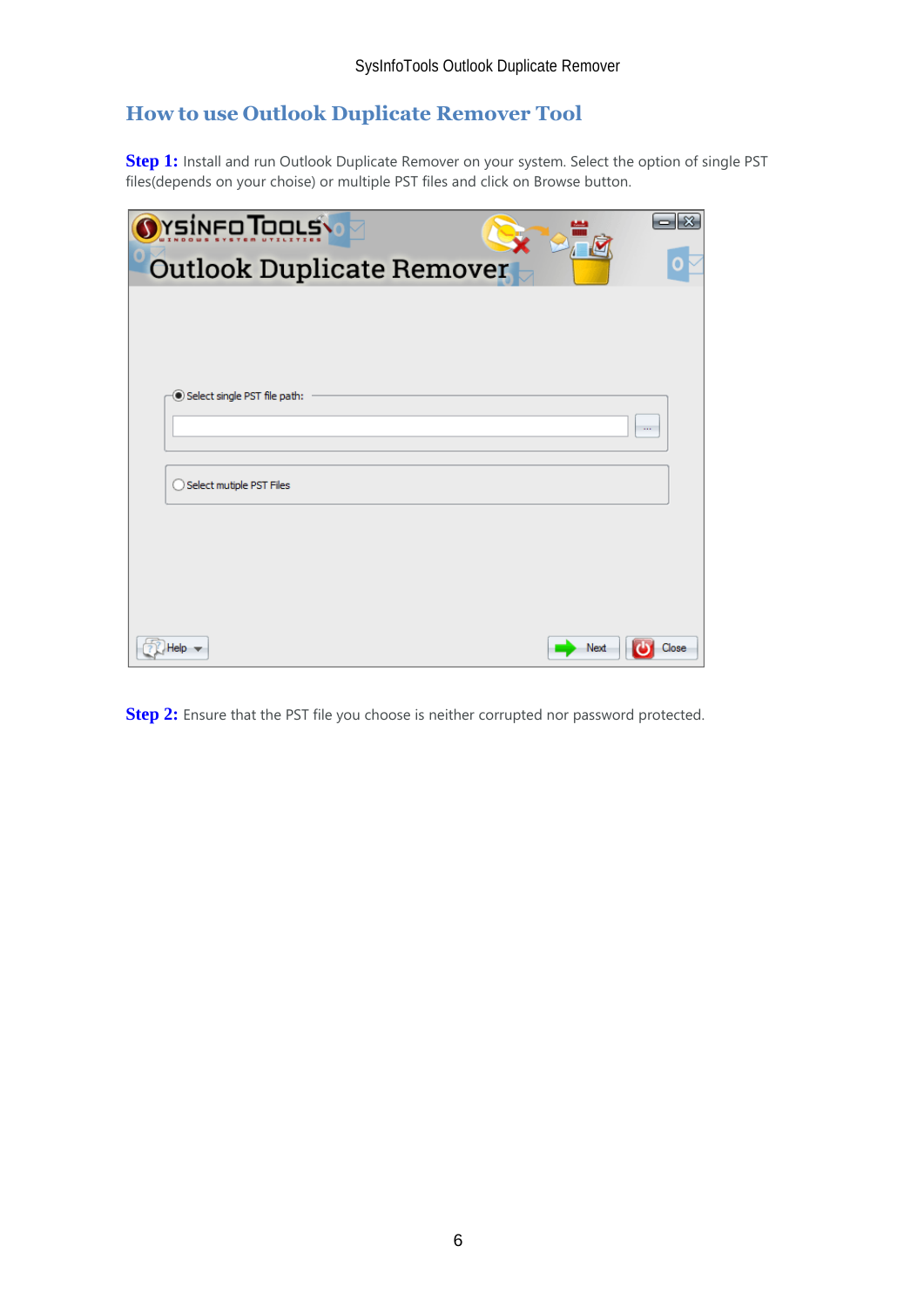# <span id="page-6-0"></span>**How to use Outlook Duplicate Remover Tool**

**Step 1:** Install and run Outlook Duplicate Remover on your system. Select the option of single PST files(depends on your choise) or multiple PST files and click on Browse button.

| <b>Orsineo Tools</b>         | $ \mathbf{x} $<br>0 |
|------------------------------|---------------------|
| Outlook Duplicate Remover    |                     |
|                              |                     |
|                              |                     |
|                              |                     |
| Select single PST file path: | $\cdots$            |
|                              |                     |
| Select mutiple PST Files     |                     |
|                              |                     |
|                              |                     |
|                              |                     |
|                              |                     |
| Help-                        | Next<br>Close       |

**Step 2:** Ensure that the PST file you choose is neither corrupted nor password protected.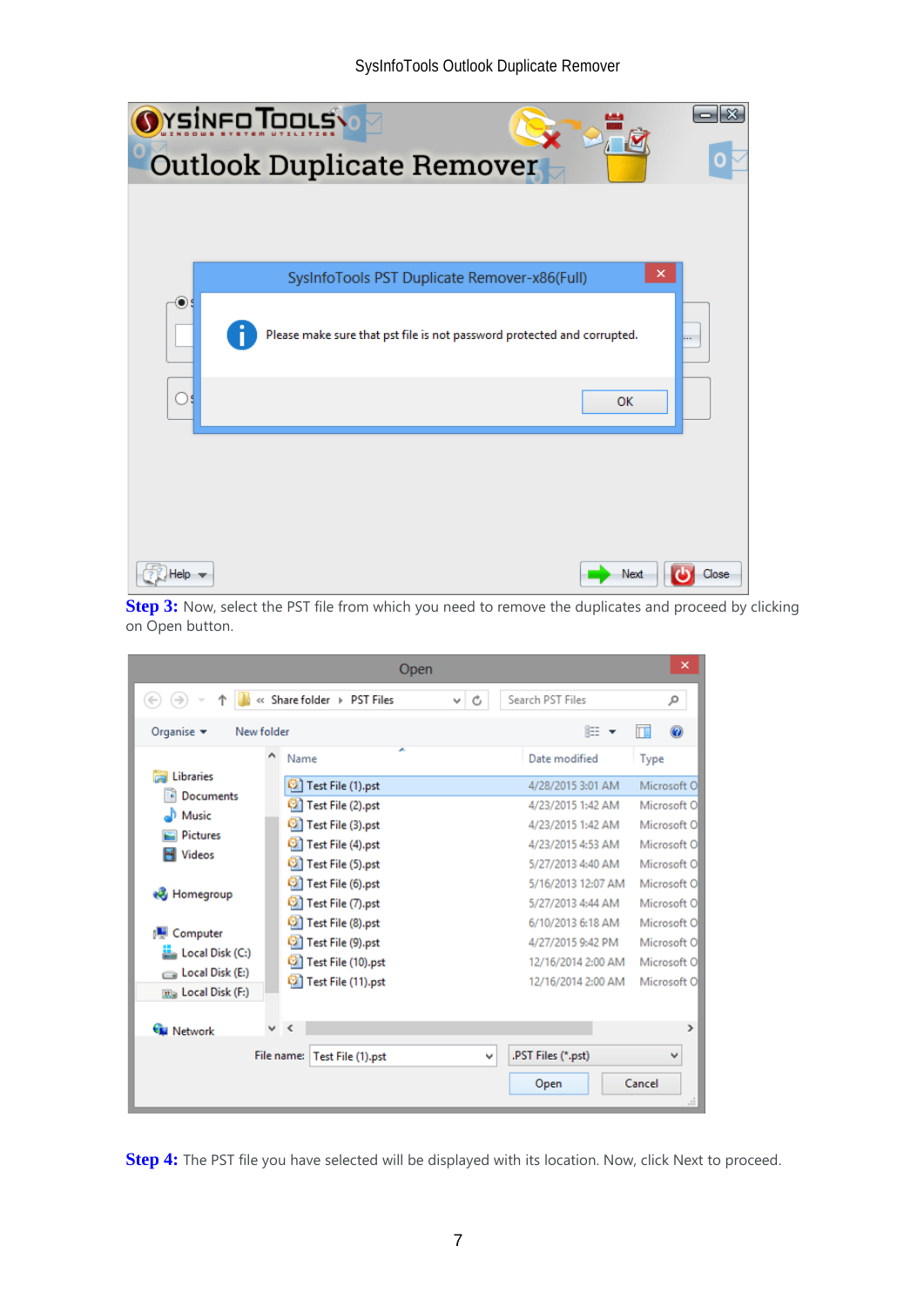#### SysInfoTools Outlook Duplicate Remover

|         | <b><i><u>YsineoTooys</u></i></b>                                        |       |
|---------|-------------------------------------------------------------------------|-------|
|         | <b>Outlook Duplicate Remover</b>                                        |       |
|         |                                                                         |       |
|         | ×<br>SysInfoTools PST Duplicate Remover-x86(Full)                       |       |
| $\circ$ |                                                                         |       |
|         | Please make sure that pst file is not password protected and corrupted. |       |
|         | <b>OK</b>                                                               |       |
|         |                                                                         |       |
|         |                                                                         |       |
|         |                                                                         |       |
| telo    | Next                                                                    | Close |

**Step 3:** Now, select the PST file from which you need to remove the duplicates and proceed by clicking on Open button.

|                                  | Open                            |         |                    | ×             |
|----------------------------------|---------------------------------|---------|--------------------|---------------|
| $\left(\leftarrow$               | « Share folder > PST Files      | Ċ<br>v. | Search PST Files   | مر            |
| Organise v<br>New folder         |                                 |         | 肛                  | ⋒             |
| Λ                                | Name                            |         | Date modified      | Type          |
| Libraries                        | Test File (1).pst               |         | 4/28/2015 3:01 AM  | Microsoft O   |
| <b>Documents</b><br>£,           | Test File (2).pst               |         | 4/23/2015 1:42 AM  | Microsoft O   |
| Music                            | Test File (3).pst               |         | 4/23/2015 1:42 AM  | Microsoft O   |
| <b>Pictures</b><br><b>Videos</b> | Test File (4).pst<br>ø          |         | 4/23/2015 4:53 AM  | Microsoft O   |
|                                  | Test File (5).pst               |         | 5/27/2013 4:40 AM  | Microsoft O   |
|                                  | Test File (6).pst               |         | 5/16/2013 12:07 AM | Microsoft O   |
| ed Homegroup                     | Test File (7).pst               |         | 5/27/2013 4:44 AM  | Microsoft O   |
| Computer                         | Test File (8).pst               |         | 6/10/2013 6:18 AM  | Microsoft O   |
| Local Disk (C:)                  | Test File (9).pst               |         | 4/27/2015 9:42 PM  | Microsoft O   |
| Local Disk (E:)                  | Test File (10).pst              |         | 12/16/2014 2:00 AM | Microsoft O   |
| Ra Local Disk (F:)               | Test File (11).pst              |         | 12/16/2014 2:00 AM | Microsoft O   |
|                                  |                                 |         |                    |               |
| v<br><b>Network</b>              | $\epsilon$                      |         |                    | $\rightarrow$ |
|                                  | File name:<br>Test File (1).pst | v       | .PST Files (*.pst) |               |
|                                  |                                 |         | Open               | Cancel<br>цĒ. |

**Step 4:** The PST file you have selected will be displayed with its location. Now, click Next to proceed.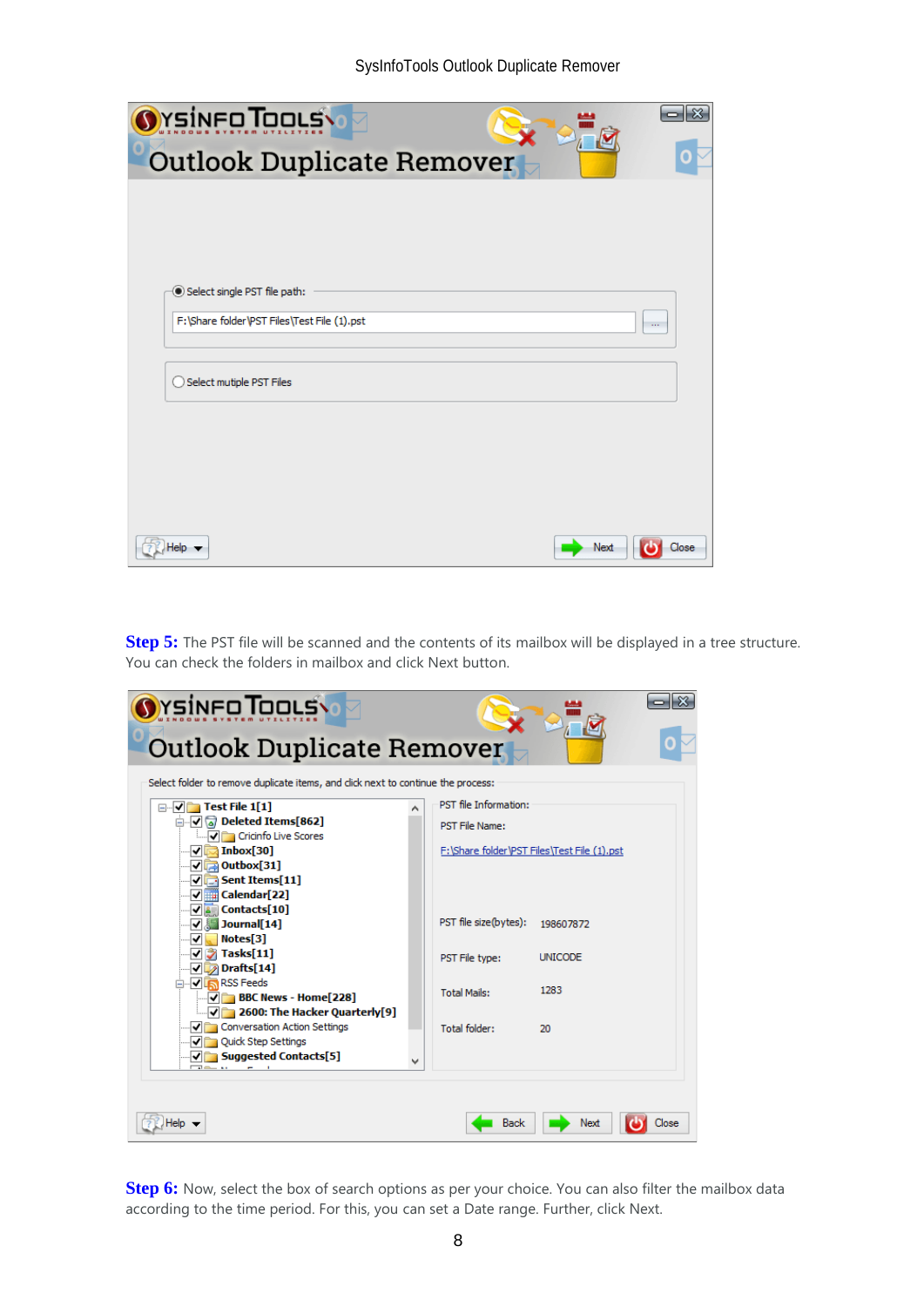| YsinFo TooLS                                |      |          |
|---------------------------------------------|------|----------|
| <b>Outlook Duplicate Remover</b>            |      |          |
|                                             |      |          |
|                                             |      |          |
|                                             |      |          |
| Select single PST file path:                |      |          |
| F:\Share folder\PST Files\Test File (1).pst |      | $\ldots$ |
|                                             |      |          |
| Select mutiple PST Files                    |      |          |
|                                             |      |          |
|                                             |      |          |
|                                             |      |          |
|                                             |      |          |
| -lelo-                                      | Next | Close    |

**Step 5:** The PST file will be scanned and the contents of its mailbox will be displayed in a tree structure. You can check the folders in mailbox and click Next button.

| rsinco Tools                                                                     |                                             |                |       |
|----------------------------------------------------------------------------------|---------------------------------------------|----------------|-------|
| <b>Outlook Duplicate Remover</b>                                                 |                                             |                |       |
| Select folder to remove duplicate items, and click next to continue the process: |                                             |                |       |
| $\Box$ $\Box$ Test File 1[1]                                                     | PST file Information:                       |                |       |
| ⊟ √ √ Deleted Items[862]<br><b>Manufacture</b> Cricinfo Live Scores              | <b>PST File Name:</b>                       |                |       |
| $\sqrt{5}$ Inbox[30]<br>$\sqrt{2}$ Outbox[31]                                    | F:\Share folder\PST Files\Test File (1).pst |                |       |
| $\sqrt{\phantom{a}}$ Sent Items[11]<br>√ <b>THE Calendar[22]</b>                 |                                             |                |       |
| $\sqrt{2}$ Contacts[10]                                                          |                                             |                |       |
| $\nabla$ 3 Journal [14]                                                          | PST file size(bytes):                       | 198607872      |       |
| $\blacksquare$ Notes[3]<br>∣✔∣                                                   |                                             |                |       |
| $\nabla$ Tasks[11]                                                               | PST File type:                              | <b>UNICODE</b> |       |
| $\nabla$ Drafts[14]<br><b>DIRECT RSS Feeds</b>                                   |                                             |                |       |
| $\sqrt{2}$ BBC News - Home[228]                                                  | <b>Total Mails:</b>                         | 1283           |       |
| ं 7 2600: The Hacker Quarterly[9]                                                |                                             |                |       |
| √ Conversation Action Settings                                                   | <b>Total folder:</b>                        | 20             |       |
| Ouick Step Settings                                                              |                                             |                |       |
| $\sqrt{5}$ Suggested Contacts[5]                                                 |                                             |                |       |
|                                                                                  |                                             |                |       |
|                                                                                  |                                             |                |       |
|                                                                                  | Back                                        | Next           | Close |

**Step 6:** Now, select the box of search options as per your choice. You can also filter the mailbox data according to the time period. For this, you can set a Date range. Further, click Next.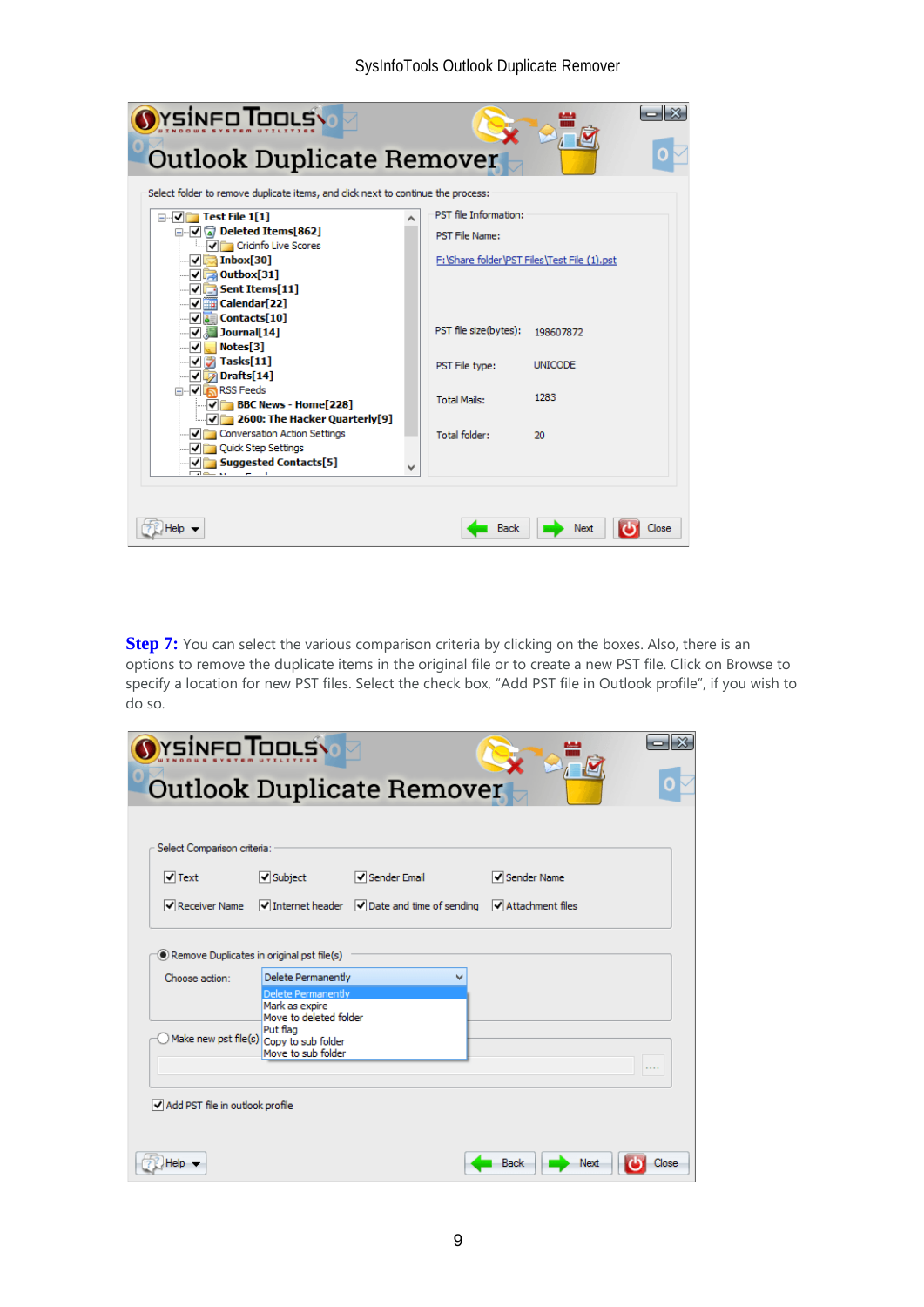#### SysInfoTools Outlook Duplicate Remover

| YSÍNFO <b>T</b> OOLS                                                             |                                             |                 |       |
|----------------------------------------------------------------------------------|---------------------------------------------|-----------------|-------|
| <b>Outlook Duplicate Remover</b>                                                 |                                             |                 |       |
| Select folder to remove duplicate items, and click next to continue the process: |                                             |                 |       |
| $\Box$ $\Box$ Test File 1[1]                                                     | PST file Information:                       |                 |       |
| ⊟- √ ॄ Deleted Items[862]<br>Cricinfo Live Scores                                | <b>PST File Name:</b>                       |                 |       |
| $\sqrt{5}$ Inbox[30]<br>$\sqrt{2}$ Outbox[31]                                    | F:\Share folder\PST Files\Test File (1).pst |                 |       |
| $\sqrt{\phantom{a}}$ Sent Items[11]                                              |                                             |                 |       |
| — √  तalendar[22]<br>$\sqrt{2}$ Contacts[10]                                     |                                             |                 |       |
| $\nabla$ <b>I</b> Journal [14]                                                   | PST file size(bytes):                       | 198607872       |       |
| Notes[3]<br>◡                                                                    |                                             |                 |       |
| $\nabla$ Tasks[11]                                                               | PST File type:                              | <b>LINTCODE</b> |       |
| $\sqrt{2}$ Drafts[14]<br>RSS Feeds                                               |                                             |                 |       |
| $\sqrt{2}$ BBC News - Home[228]                                                  | <b>Total Mails:</b>                         | 1283            |       |
| $\sqrt{2}$ 2600: The Hacker Quarterly[9]                                         |                                             |                 |       |
| Onversation Action Settings                                                      | <b>Total folder:</b>                        | 20              |       |
| √ Quick Step Settings<br>$\sqrt{5}$ Suggested Contacts[5]                        |                                             |                 |       |
|                                                                                  |                                             |                 |       |
|                                                                                  |                                             |                 |       |
|                                                                                  |                                             |                 |       |
|                                                                                  | Back                                        | Next            | Close |

**Step 7:** You can select the various comparison criteria by clicking on the boxes. Also, there is an options to remove the duplicate items in the original file or to create a new PST file. Click on Browse to specify a location for new PST files. Select the check box, "Add PST file in Outlook profile", if you wish to do so.

| Select Comparison criteria: |                                                                               |                                                                          |                                        |  |
|-----------------------------|-------------------------------------------------------------------------------|--------------------------------------------------------------------------|----------------------------------------|--|
| $\sqrt{}$ Text              | $\triangledown$ Subject                                                       | Sender Email                                                             | Sender Name                            |  |
| $\sqrt{}$ Receiver Name     |                                                                               | $\triangledown$ Internet header $\triangledown$ Date and time of sending | $\blacktriangleright$ Attachment files |  |
|                             | Delete Permanently<br>Mark as expire                                          |                                                                          |                                        |  |
|                             |                                                                               |                                                                          |                                        |  |
|                             | Move to deleted folder<br>Put flag<br>Make new pst file(s) Copy to sub folder |                                                                          |                                        |  |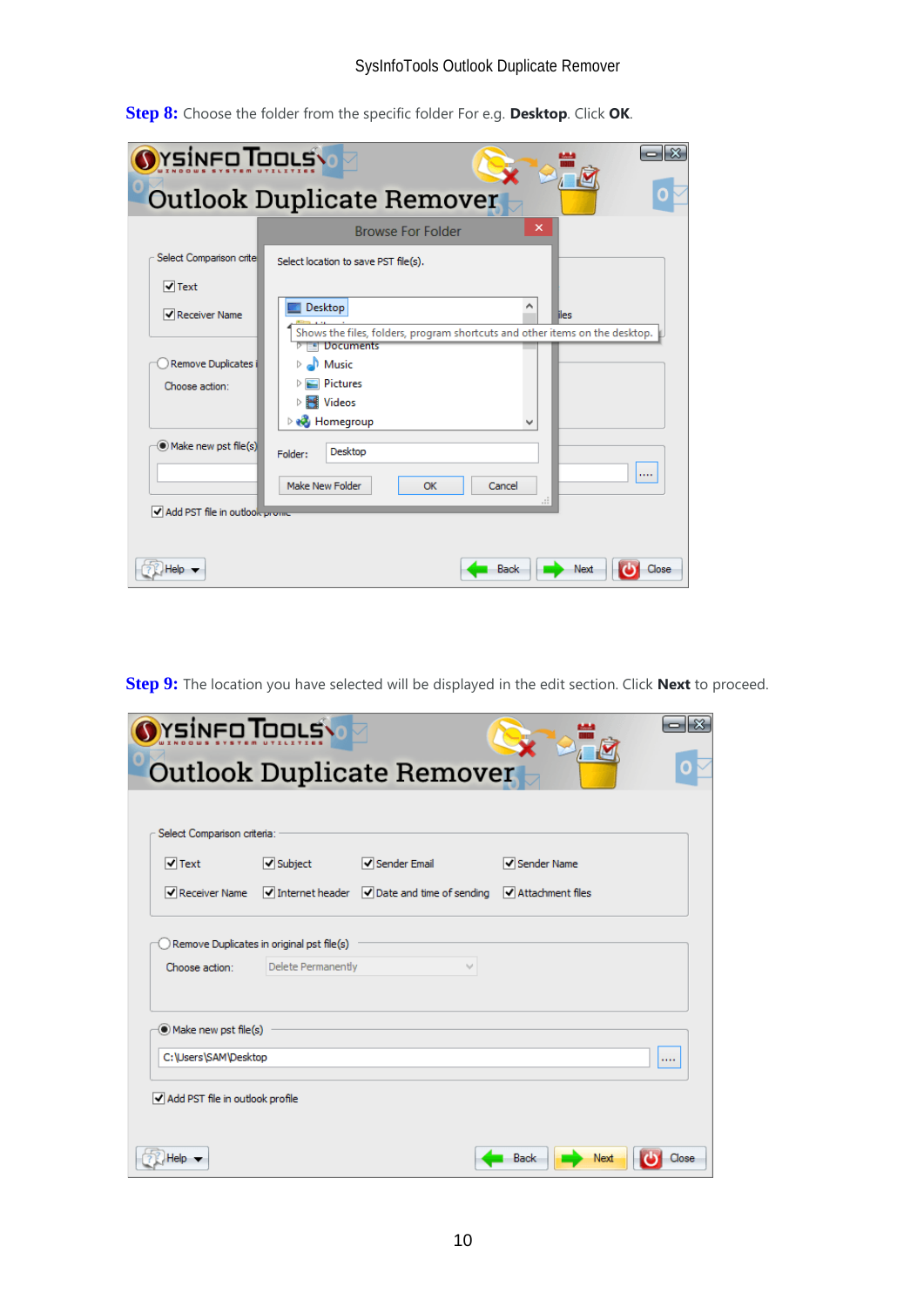| <b><i><u>Ysinco Toous (</u></i></b> |                                                                                                 |
|-------------------------------------|-------------------------------------------------------------------------------------------------|
|                                     | <b>Outlook Duplicate Remover</b>                                                                |
|                                     | ×<br><b>Browse For Folder</b>                                                                   |
| Select Comparison crite             | Select location to save PST file(s).                                                            |
| $\sqrt{}$ Text                      |                                                                                                 |
| Receiver Name                       | Desktop<br>liles<br>Shows the files, folders, program shortcuts and other items on the desktop. |
| Remove Duplicates i                 | El Documents<br>Nusic<br>Þ                                                                      |
| Choose action:                      | <b>Pictures</b><br><b>Nideos</b><br>⊳<br><b>R</b> Homegroup<br>D                                |
| Make new pst file(s)                | Desktop<br>Folder:<br><br>Make New Folder<br>Cancel<br>OK                                       |
| Add PST file in outlook prome       | лÍ.                                                                                             |
| Helo                                | Next<br>Close<br>Back                                                                           |

**Step 8:** Choose the folder from the specific folder For e.g. **Desktop**. Click **OK**.

**Step 9:** The location you have selected will be displayed in the edit section. Click **Next** to proceed.

| Select Comparison criteria: |                   |                                                                          |                                        |  |
|-----------------------------|-------------------|--------------------------------------------------------------------------|----------------------------------------|--|
| $\sqrt{}$ Text              | $\sqrt{}$ Subject | Sender Email                                                             | Sender Name                            |  |
| Receiver Name               |                   | $\triangledown$ Internet header $\triangledown$ Date and time of sending | $\blacktriangleright$ Attachment files |  |
| Make new pst file(s)        |                   |                                                                          |                                        |  |
| C:\Users\SAM\Desktop        |                   |                                                                          |                                        |  |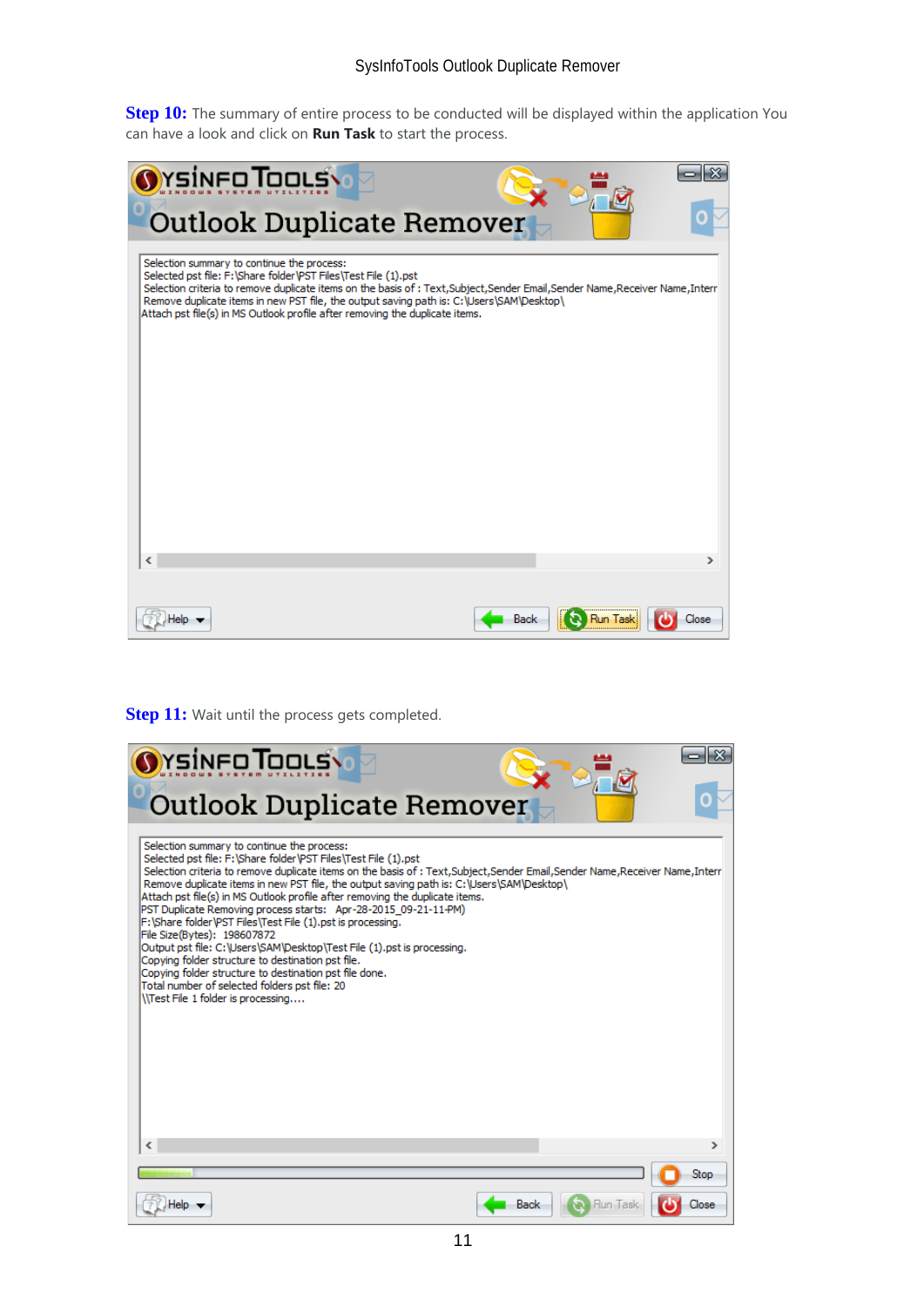### SysInfoTools Outlook Duplicate Remover

**Step 10:** The summary of entire process to be conducted will be displayed within the application You can have a look and click on **Run Task** to start the process.

| <b><i><u>NYSINFOTOOLS</u></i></b><br><b>Outlook Duplicate Remover</b>                                                                                                                                                                                                                                                                                                                                                      |                                         |
|----------------------------------------------------------------------------------------------------------------------------------------------------------------------------------------------------------------------------------------------------------------------------------------------------------------------------------------------------------------------------------------------------------------------------|-----------------------------------------|
| Selection summary to continue the process:<br>Selected pst file: F:\Share folder\PST Files\Test File (1).pst<br>Selection criteria to remove duplicate items on the basis of : Text, Subject, Sender Email, Sender Name, Receiver Name, Interr<br>Remove duplicate items in new PST file, the output saving path is: C:\Users\SAM\Desktop\<br>Attach pst file(s) in MS Outlook profile after removing the duplicate items. |                                         |
|                                                                                                                                                                                                                                                                                                                                                                                                                            |                                         |
| ∢<br>lelo                                                                                                                                                                                                                                                                                                                                                                                                                  | <b>&gt;</b><br><b>Run Task</b><br>Close |

**Step 11:** Wait until the process gets completed.

| YsinFoTooLs\                                                                                                                                                                                                                                                                                                                                                                                                                                                                                                                                                                                                                                                                                                                                                                                                                                                                    |              |
|---------------------------------------------------------------------------------------------------------------------------------------------------------------------------------------------------------------------------------------------------------------------------------------------------------------------------------------------------------------------------------------------------------------------------------------------------------------------------------------------------------------------------------------------------------------------------------------------------------------------------------------------------------------------------------------------------------------------------------------------------------------------------------------------------------------------------------------------------------------------------------|--------------|
| <b>Outlook Duplicate Remover</b>                                                                                                                                                                                                                                                                                                                                                                                                                                                                                                                                                                                                                                                                                                                                                                                                                                                |              |
| Selection summary to continue the process:<br>Selected pst file: F:\Share folder\PST Files\Test File (1).pst<br>Selection criteria to remove duplicate items on the basis of : Text, Subject, Sender Email, Sender Name, Receiver Name, Interr<br>Remove duplicate items in new PST file, the output saving path is: C:\Users\SAM\Desktop\<br>Attach pst file(s) in MS Outlook profile after removing the duplicate items.<br>PST Duplicate Removing process starts: Apr-28-2015 09-21-11-PM)<br>F:\Share folder\PST Files\Test File (1).pst is processing.<br>File Size(Bytes): 198607872<br>Output pst file: C:\Users\SAM\Desktop\Test File (1).pst is processing.<br>Copving folder structure to destination pst file.<br>Copying folder structure to destination pst file done.<br>Total number of selected folders pst file: 20<br><b>West File 1 folder is processing</b> |              |
|                                                                                                                                                                                                                                                                                                                                                                                                                                                                                                                                                                                                                                                                                                                                                                                                                                                                                 | ⋗            |
| Back                                                                                                                                                                                                                                                                                                                                                                                                                                                                                                                                                                                                                                                                                                                                                                                                                                                                            | Stop<br>Jose |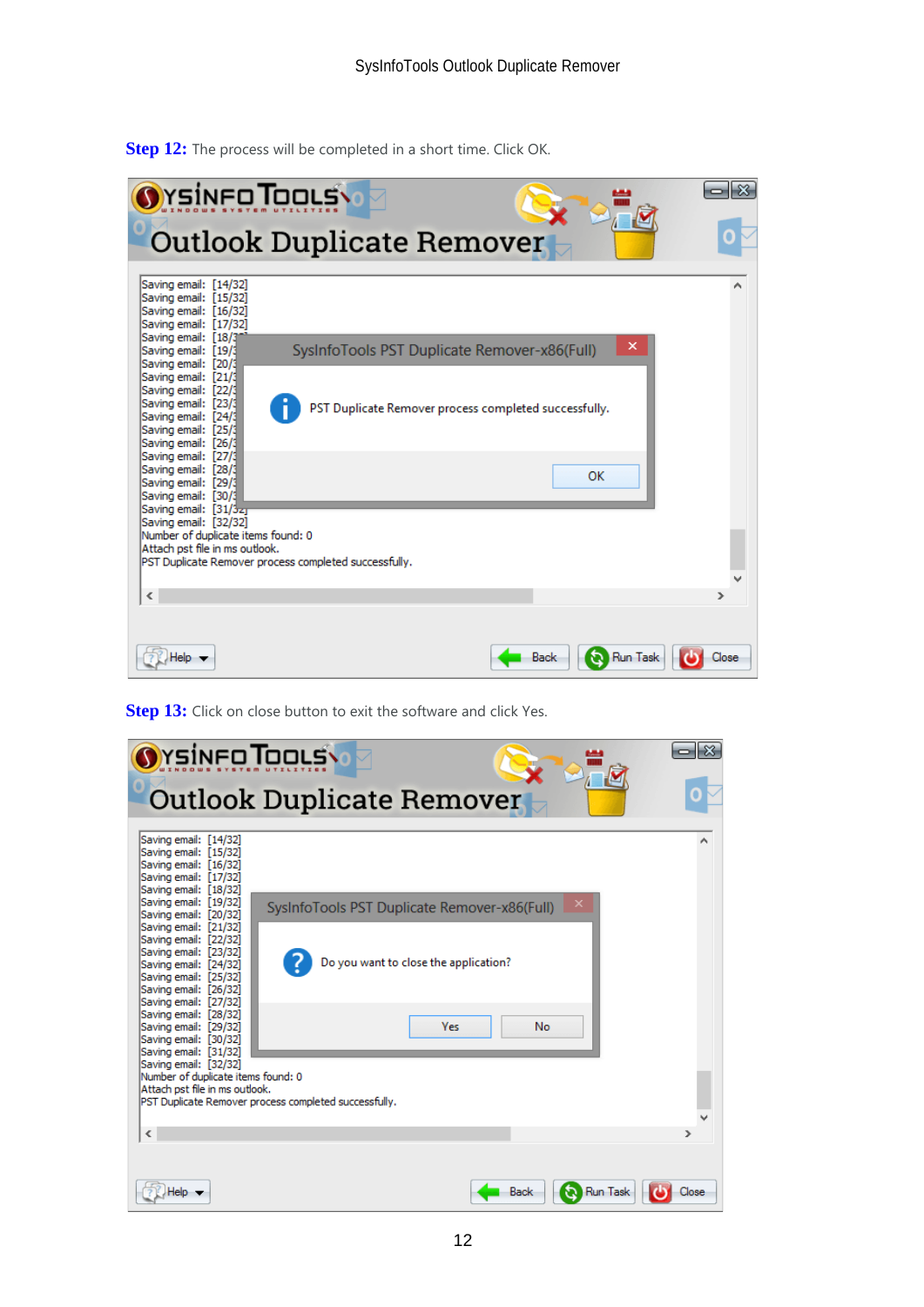

**Step 12:** The process will be completed in a short time. Click OK.

**Step 13:** Click on close button to exit the software and click Yes.

| YSINFO TOOLS                                                                                                                                                                                                                                                                                                                                                                                                                                                                                                                                                         |                                                                                                                                                                           |       |
|----------------------------------------------------------------------------------------------------------------------------------------------------------------------------------------------------------------------------------------------------------------------------------------------------------------------------------------------------------------------------------------------------------------------------------------------------------------------------------------------------------------------------------------------------------------------|---------------------------------------------------------------------------------------------------------------------------------------------------------------------------|-------|
|                                                                                                                                                                                                                                                                                                                                                                                                                                                                                                                                                                      | <b>Outlook Duplicate Remover</b>                                                                                                                                          |       |
| Saving email: [14/32]<br>Saving email: [15/32]<br>Saving email: [16/32]<br>Saving email: [17/32]<br>Saving email: [18/32]<br>Saving email: [19/32]<br>Saving email: [20/32]<br>Saving email: [21/32]<br>Saving email: [22/32]<br>Saving email: [23/32]<br>Saving email: [24/32]<br>Saving email: [25/32]<br>Saving email: [26/32]<br>Saving email: [27/32]<br>Saving email: [28/32]<br>Saving email: [29/32]<br>Saving email: [30/32]<br>Saving email: [31/32]<br>Saving email: [32/32]<br>Number of duplicate items found: 0<br>Attach pst file in ms outlook.<br>∢ | SysInfoTools PST Duplicate Remover-x86(Full)<br>Do you want to close the application?<br><b>Yes</b><br><b>No</b><br>PST Duplicate Remover process completed successfully. |       |
|                                                                                                                                                                                                                                                                                                                                                                                                                                                                                                                                                                      | <b>Run Task</b><br>Back                                                                                                                                                   | Close |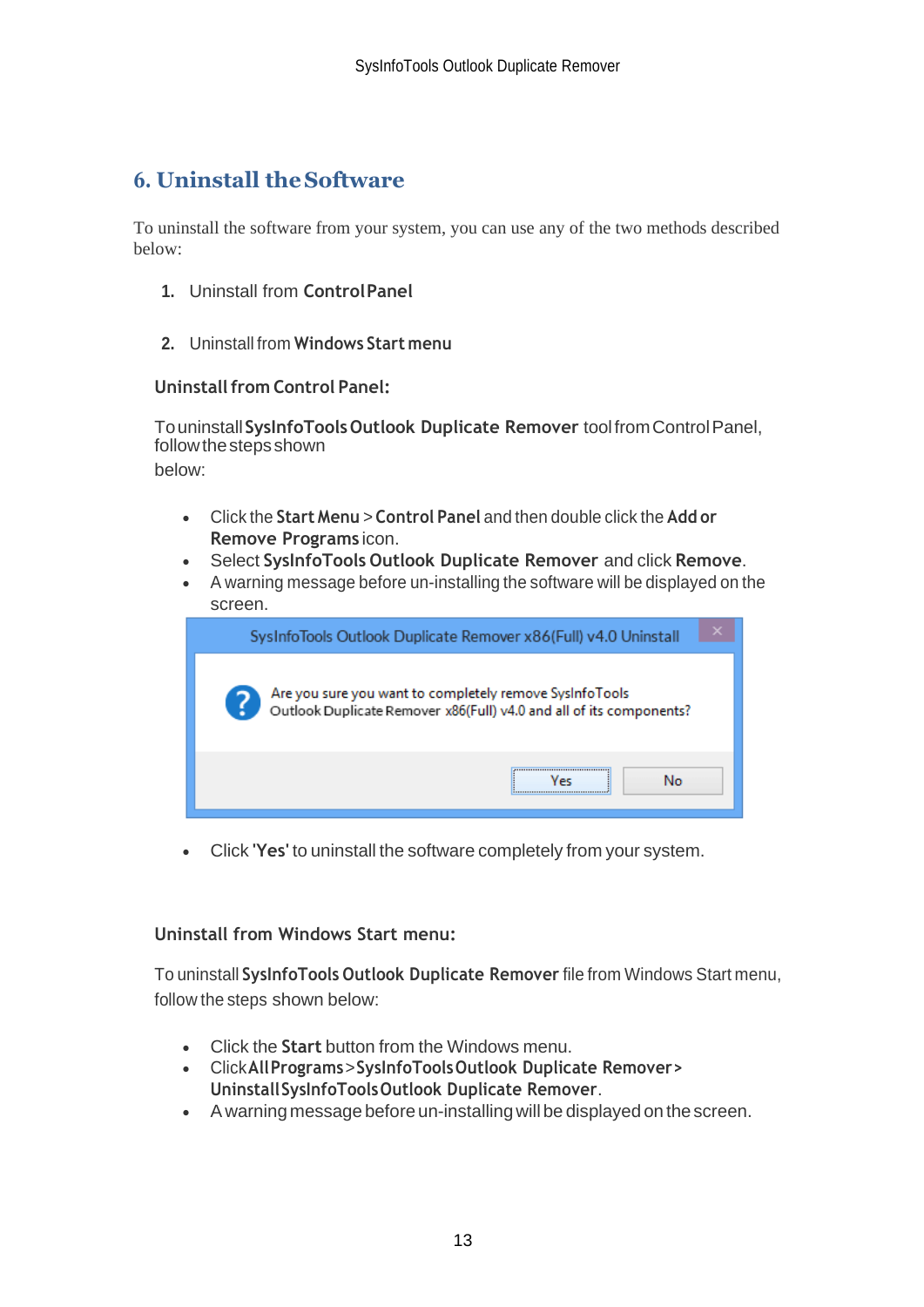# <span id="page-13-0"></span>**6. Uninstall theSoftware**

To uninstall the software from your system, you can use any of the two methods described below:

- **1.** Uninstall from **ControlPanel**
- **2.** Uninstall from **Windows Start menu**

#### **Uninstall from Control Panel:**

Touninstall**SysInfoToolsOutlook Duplicate Remover** toolfromControlPanel, follow the steps shown below:

- Click the **Start Menu** > **Control Panel** and then double click the **Add or Remove Programs** icon.
- Select **SysInfoTools Outlook Duplicate Remover** and click **Remove**.
- A warning message before un-installing the software will be displayed on the screen.

| SysInfoTools Outlook Duplicate Remover x86(Full) v4.0 Uninstall                                                                |
|--------------------------------------------------------------------------------------------------------------------------------|
| Are you sure you want to completely remove SysInfoTools<br>Outlook Duplicate Remover x86(Full) v4.0 and all of its components? |
| <br>No                                                                                                                         |

• Click **'Yes'** to uninstall the software completely from your system.

#### **Uninstall from Windows Start menu:**

To uninstall **SysInfoTools Outlook Duplicate Remover** file from Windows Start menu, follow the steps shown below:

- Click the **Start** button from the Windows menu.
- Click**AllPrograms**>**SysInfoToolsOutlook Duplicate Remover> UninstallSysInfoToolsOutlook Duplicate Remover**.
- A warning message before un-installingwill be displayed on the screen.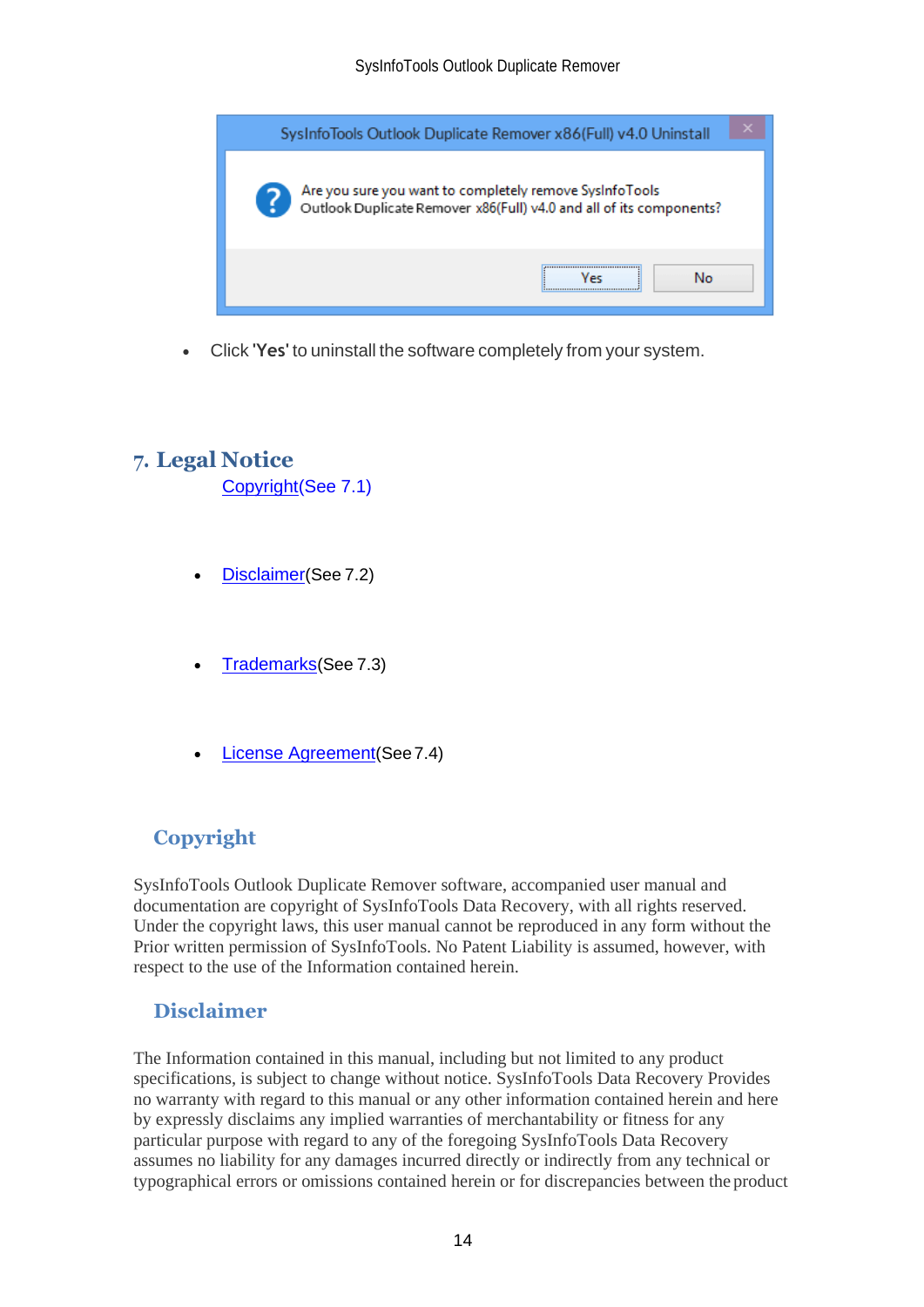

• Click **'Yes'** to uninstall the software completely from your system.

## <span id="page-14-0"></span>**7. Legal Notice**

[Copyright\(](#page-14-1)See 7.1)

- [Disclaimer](#page-14-2)(See 7.2)
- [Trademarks](#page-15-0)(See 7.3)
- [License Agreement](#page-15-1)(See7.4)

## <span id="page-14-1"></span>**Copyright**

SysInfoTools Outlook Duplicate Remover software, accompanied user manual and documentation are copyright of SysInfoTools Data Recovery, with all rights reserved. Under the copyright laws, this user manual cannot be reproduced in any form without the Prior written permission of SysInfoTools. No Patent Liability is assumed, however, with respect to the use of the Information contained herein.

## <span id="page-14-2"></span>**Disclaimer**

The Information contained in this manual, including but not limited to any product specifications, is subject to change without notice. SysInfoTools Data Recovery Provides no warranty with regard to this manual or any other information contained herein and here by expressly disclaims any implied warranties of merchantability or fitness for any particular purpose with regard to any of the foregoing SysInfoTools Data Recovery assumes no liability for any damages incurred directly or indirectly from any technical or typographical errors or omissions contained herein or for discrepancies between the product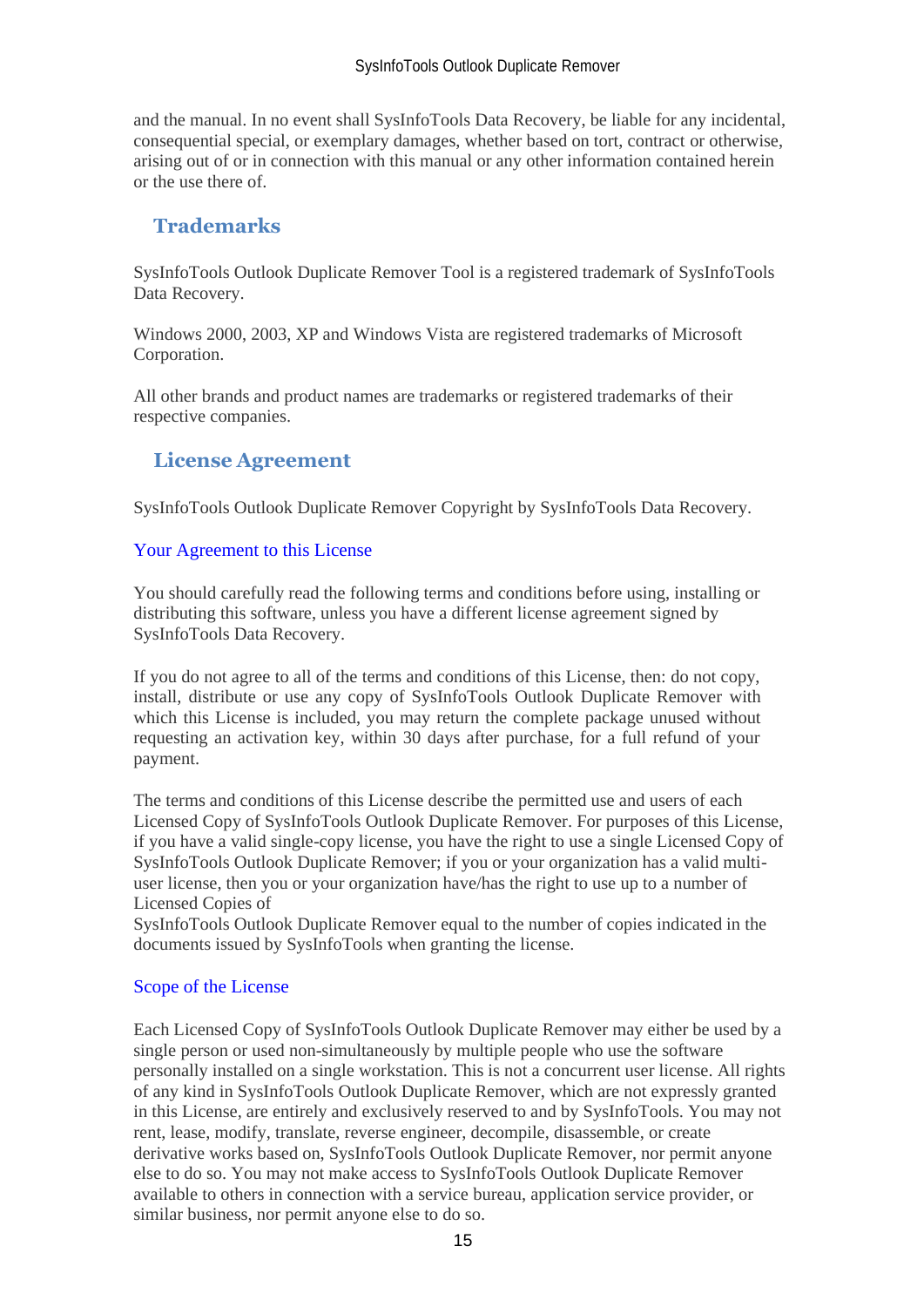and the manual. In no event shall SysInfoTools Data Recovery, be liable for any incidental, consequential special, or exemplary damages, whether based on tort, contract or otherwise, arising out of or in connection with this manual or any other information contained herein or the use there of.

## <span id="page-15-0"></span>**Trademarks**

SysInfoTools Outlook Duplicate Remover Tool is a registered trademark of SysInfoTools Data Recovery.

Windows 2000, 2003, XP and Windows Vista are registered trademarks of Microsoft Corporation.

All other brands and product names are trademarks or registered trademarks of their respective companies.

## <span id="page-15-1"></span>**License Agreement**

SysInfoTools Outlook Duplicate Remover Copyright by SysInfoTools Data Recovery.

#### Your Agreement to this License

You should carefully read the following terms and conditions before using, installing or distributing this software, unless you have a different license agreement signed by SysInfoTools Data Recovery.

If you do not agree to all of the terms and conditions of this License, then: do not copy, install, distribute or use any copy of SysInfoTools Outlook Duplicate Remover with which this License is included, you may return the complete package unused without requesting an activation key, within 30 days after purchase, for a full refund of your payment.

The terms and conditions of this License describe the permitted use and users of each Licensed Copy of SysInfoTools Outlook Duplicate Remover. For purposes of this License, if you have a valid single-copy license, you have the right to use a single Licensed Copy of SysInfoTools Outlook Duplicate Remover; if you or your organization has a valid multiuser license, then you or your organization have/has the right to use up to a number of Licensed Copies of

SysInfoTools Outlook Duplicate Remover equal to the number of copies indicated in the documents issued by SysInfoTools when granting the license.

#### Scope of the License

Each Licensed Copy of SysInfoTools Outlook Duplicate Remover may either be used by a single person or used non-simultaneously by multiple people who use the software personally installed on a single workstation. This is not a concurrent user license. All rights of any kind in SysInfoTools Outlook Duplicate Remover, which are not expressly granted in this License, are entirely and exclusively reserved to and by SysInfoTools. You may not rent, lease, modify, translate, reverse engineer, decompile, disassemble, or create derivative works based on, SysInfoTools Outlook Duplicate Remover, nor permit anyone else to do so. You may not make access to SysInfoTools Outlook Duplicate Remover available to others in connection with a service bureau, application service provider, or similar business, nor permit anyone else to do so.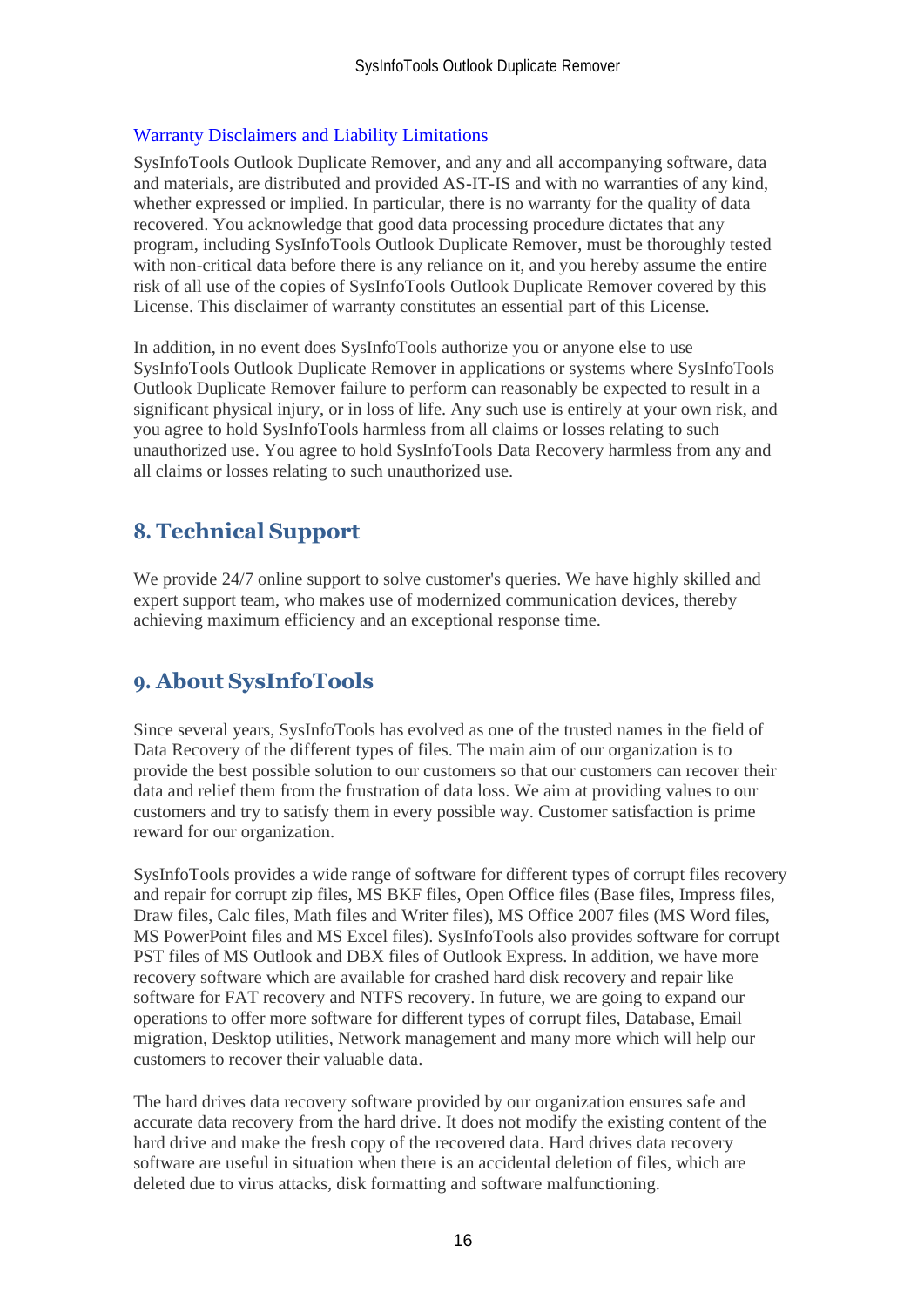#### Warranty Disclaimers and Liability Limitations

SysInfoTools Outlook Duplicate Remover, and any and all accompanying software, data and materials, are distributed and provided AS-IT-IS and with no warranties of any kind, whether expressed or implied. In particular, there is no warranty for the quality of data recovered. You acknowledge that good data processing procedure dictates that any program, including SysInfoTools Outlook Duplicate Remover, must be thoroughly tested with non-critical data before there is any reliance on it, and you hereby assume the entire risk of all use of the copies of SysInfoTools Outlook Duplicate Remover covered by this License. This disclaimer of warranty constitutes an essential part of this License.

In addition, in no event does SysInfoTools authorize you or anyone else to use SysInfoTools Outlook Duplicate Remover in applications or systems where SysInfoTools Outlook Duplicate Remover failure to perform can reasonably be expected to result in a significant physical injury, or in loss of life. Any such use is entirely at your own risk, and you agree to hold SysInfoTools harmless from all claims or losses relating to such unauthorized use. You agree to hold SysInfoTools Data Recovery harmless from any and all claims or losses relating to such unauthorized use.

## <span id="page-16-0"></span>**8. Technical Support**

We provide 24/7 online support to solve customer's queries. We have highly skilled and expert support team, who makes use of modernized communication devices, thereby achieving maximum efficiency and an exceptional response time.

## <span id="page-16-1"></span>**9. About SysInfoTools**

Since several years, SysInfoTools has evolved as one of the trusted names in the field of Data Recovery of the different types of files. The main aim of our organization is to provide the best possible solution to our customers so that our customers can recover their data and relief them from the frustration of data loss. We aim at providing values to our customers and try to satisfy them in every possible way. Customer satisfaction is prime reward for our organization.

SysInfoTools provides a wide range of software for different types of corrupt files recovery and repair for corrupt zip files, MS BKF files, Open Office files (Base files, Impress files, Draw files, Calc files, Math files and Writer files), MS Office 2007 files (MS Word files, MS PowerPoint files and MS Excel files). SysInfoTools also provides software for corrupt PST files of MS Outlook and DBX files of Outlook Express. In addition, we have more recovery software which are available for crashed hard disk recovery and repair like software for FAT recovery and NTFS recovery. In future, we are going to expand our operations to offer more software for different types of corrupt files, Database, Email migration, Desktop utilities, Network management and many more which will help our customers to recover their valuable data.

The hard drives data recovery software provided by our organization ensures safe and accurate data recovery from the hard drive. It does not modify the existing content of the hard drive and make the fresh copy of the recovered data. Hard drives data recovery software are useful in situation when there is an accidental deletion of files, which are deleted due to virus attacks, disk formatting and software malfunctioning.